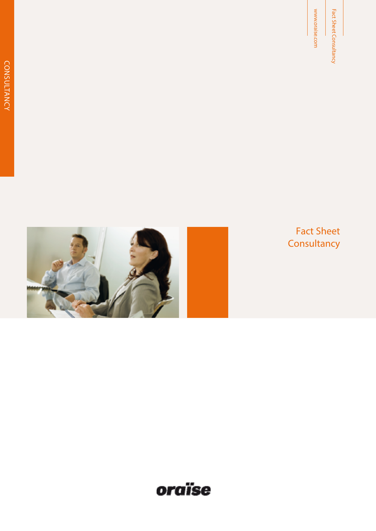Fact Sheet<br>Consultancy Fact Sheet<br>
Since the Sheet<br>
Consultancy<br>
Consultancy

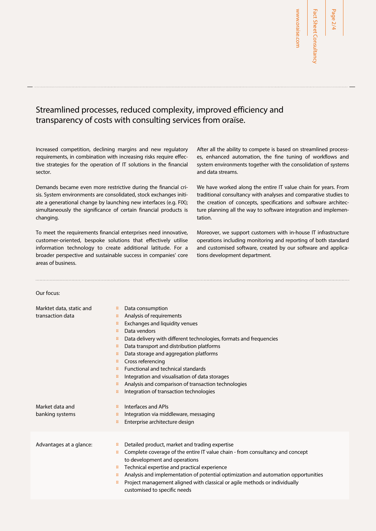# Streamlined processes, reduced complexity, improved efficiency and transparency of costs with consulting services from oraïse.

Increased competition, declining margins and new regulatory requirements, in combination with increasing risks require effective strategies for the operation of IT solutions in the financial sector.

Demands became even more restrictive during the financial crisis. System environments are consolidated, stock exchanges initiate a generational change by launching new interfaces (e.g. FIX); simultaneously the significance of certain financial products is changing.

To meet the requirements financial enterprises need innovative, customer-oriented, bespoke solutions that effectively utilise information technology to create additional latitude. For a broader perspective and sustainable success in companies' core areas of business.

After all the ability to compete is based on streamlined processes, enhanced automation, the fine tuning of workflows and system environments together with the consolidation of systems and data streams.

We have worked along the entire IT value chain for years. From traditional consultancy with analyses and comparative studies to the creation of concepts, specifications and software architecture planning all the way to software integration and implementation.

Moreover, we support customers with in-house IT infrastructure operations including monitoring and reporting of both standard and customised software, created by our software and applications development department.

#### Our focus:

| Marktet data, static and<br>transaction data | Data consumption<br>Analysis of requirements<br>Exchanges and liquidity venues<br>Data vendors<br>Data delivery with different technologies, formats and frequencies<br>Data transport and distribution platforms<br>Data storage and aggregation platforms<br>Cross referencing<br>Functional and technical standards<br>Integration and visualisation of data storages<br>Analysis and comparison of transaction technologies<br>Integration of transaction technologies |
|----------------------------------------------|----------------------------------------------------------------------------------------------------------------------------------------------------------------------------------------------------------------------------------------------------------------------------------------------------------------------------------------------------------------------------------------------------------------------------------------------------------------------------|
| Market data and<br>banking systems           | Interfaces and APIs<br>Integration via middleware, messaging<br>Enterprise architecture design                                                                                                                                                                                                                                                                                                                                                                             |
| Advantages at a glance:                      | Detailed product, market and trading expertise<br>Complete coverage of the entire IT value chain - from consultancy and concept<br>to development and operations<br>Technical expertise and practical experience<br>Analysis and implementation of potential optimization and automation opportunities<br>Project management aligned with classical or agile methods or individually<br>customised to specific needs                                                       |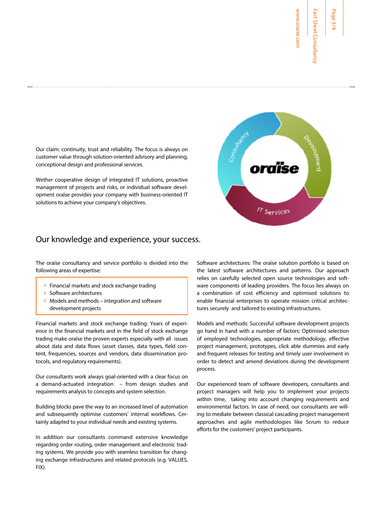**Page** 

www.oraise.com

www.oraise.com

Our claim: continuity, trust and reliability. The focus is always on customer value through solution-oriented advisory and planning, conceptional design and professional services.

Wether cooperative design of integrated IT solutions, proactive management of projects and risks, or individual software development oraïse provides your company with business-oriented IT solutions to achieve your company's objectives.



The oraïse consultancy and service portfolio is divided into the following areas of expertise:

 Financial markets and stock exchange trading Software architectures Models and methods – integration and software development projects

Financial markets and stock exchange trading: Years of experience in the financial markets and in the field of stock exchange trading make oraïse the proven experts especially with all issues about data and data flows (asset classes, data types, field content, frequencies, sources and vendors, data dissemination protocols, and regulatory requirements).

Our consultants work always goal-oriented with a clear focus on a demand-actuated integration – from design studies and requirements analysis to concepts and system selection.

Building blocks pave the way to an increased level of automation and subsequently optimise customers' internal workflows. Certainly adapted to your individual needs and existing systems.

In addition our consultants command extensive knowledge regarding order routing, order management and electronic trading systems. We provide you with seamless transition for changing exchange infrastructures and related protocols (e.g. VALUES, FIX).

Software architectures: The oraïse solution portfolio is based on the latest software architectures and patterns. Our approach relies on carefully selected open source technologies and software components of leading providers. The focus lies always on a combination of cost efficiency and optimised solutions to enable financial enterprises to operate mission critical architectures securely and tailored to existing infrastructures.

Models and methods: Successful software development projects go hand in hand with a number of factors: Optimised selection of employed technologies, appropriate methodology, effective project management, prototypes, click able dummies and early and frequent releases for testing and timely user involvement in order to detect and amend deviations during the development process.

Our experienced team of software developers, consultants and project managers will help you to implement your projects within time, taking into account changing requirements and environmental factors. In case of need, our consultants are willing to mediate between classical cascading project management approaches and agile methodologies like Scrum to reduce efforts for the customers' project participants.